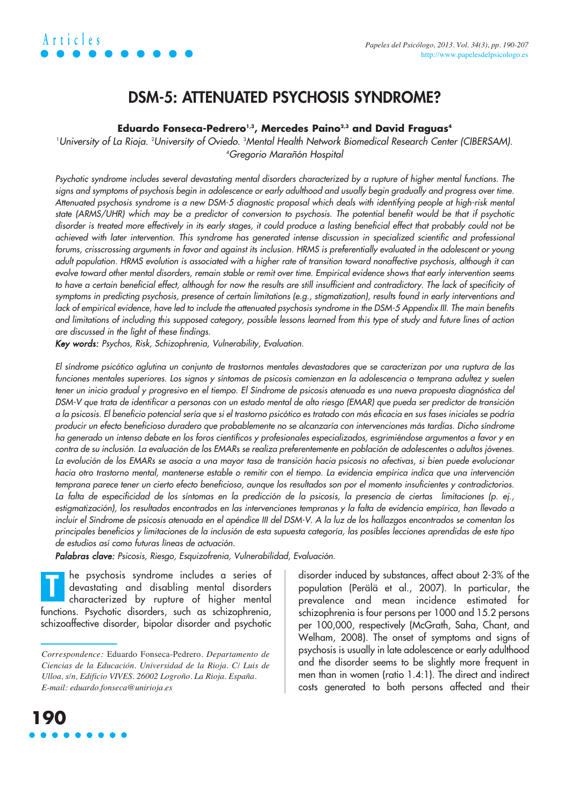## **Articles** *Papeles del Psicólogo, 2013. Vol. 34(3), pp. 190-207*

### **DSM-5: ATTENUATED PSYCHOSIS SYNDROME?**

#### Eduardo Fonseca-Pedrero<sup>1,3</sup>, Mercedes Paino<sup>2,3</sup> and David Fraguas<sup>4</sup>

University of La Rioja. <sup>2</sup>University of Oviedo. <sup>3</sup>Mental Health Network Biomedical Research Center (CIBERSAM). 4 Gregorio Marañón Hospital

Psychotic syndrome includes several devastating mental disorders characterized by a rupture of higher mental functions. The signs and symptoms of psychosis begin in adolescence or early adulthood and usually begin gradually and progress over time. Attenuated psychosis syndrome is a new DSM-5 diagnostic proposal which deals with identifying people at high-risk mental state (ARMS/UHR) which may be a predictor of conversion to psychosis. The potential benefit would be that if psychotic disorder is treated more effectively in its early stages, it could produce a lasting beneficial effect that probably could not be achieved with later intervention. This syndrome has generated intense discussion in specialized scientific and professional forums, crisscrossing arguments in favor and against its inclusion. HRMS is preferentially evaluated in the adolescent or young adult population. HRMS evolution is associated with a higher rate of transition toward nonaffective psychosis, although it can evolve toward other mental disorders, remain stable or remit over time. Empirical evidence shows that early intervention seems to have a certain beneficial effect, although for now the results are still insufficient and contradictory. The lack of specificity of symptoms in predicting psychosis, presence of certain limitations (e.g., stigmatization), results found in early interventions and lack of empirical evidence, have led to include the attenuated psychosis syndrome in the DSM-5 Appendix III. The main benefits and limitations of including this supposed category, possible lessons learned from this type of study and future lines of action are discussed in the light of these findings.

Key words: Psychos, Risk, Schizophrenia, Vulnerability, Evaluation.

El síndrome psicótico aglutina un conjunto de trastornos mentales devastadores que se caracterizan por una ruptura de las funciones mentales superiores. Los signos y síntomas de psicosis comienzan en la adolescencia o temprana adultez y suelen tener un inicio gradual y progresivo en el tiempo. El Síndrome de psicosis atenuada es una nueva propuesta diagnóstica del DSM-V que trata de identificar a personas con un estado mental de alto riesgo (EMAR) que pueda ser predictor de transición a la psicosis. El beneficio potencial sería que si el trastorno psicótico es tratado con más eficacia en sus fases iniciales se podría producir un efecto beneficioso duradero que probablemente no se alcanzaría con intervenciones más tardías. Dicho síndrome ha generado un intenso debate en los foros científicos y profesionales especializados, esgrimiéndose argumentos a favor y en contra de su inclusión. La evaluación de los EMARs se realiza preferentemente en población de adolescentes o adultos jóvenes. La evolución de los EMARs se asocia a una mayor tasa de transición hacia psicosis no afectivas, si bien puede evolucionar hacia otro trastorno mental, mantenerse estable o remitir con el tiempo. La evidencia empírica indica que una intervención temprana parece tener un cierto efecto beneficioso, aunque los resultados son por el momento insuficientes y contradictorios. La falta de especificidad de los síntomas en la predicción de la psicosis, la presencia de ciertas limitaciones (p. ej., estigmatización), los resultados encontrados en las intervenciones tempranas y la falta de evidencia empírica, han llevado a incluir el Síndrome de psicosis atenuada en el apéndice III del DSM-V. A la luz de los hallazgos encontrados se comentan los principales beneficios y limitaciones de la inclusión de esta supuesta categoría, las posibles lecciones aprendidas de este tipo de estudios así como futuras líneas de actuación.

Palabras clave: Psicosis, Riesgo, Esquizofrenia, Vulnerabilidad, Evaluación.

he psychosis syndrome includes a series of devastating and disabling mental disorders characterized by rupture of higher mental functions. Psychotic disorders, such as schizophrenia, schizoaffective disorder, bipolar disorder and psychotic **T**

disorder induced by substances, affect about 2-3% of the population (Perälä et al., 2007). In particular, the prevalence and mean incidence estimated for schizophrenia is four persons per 1000 and 15.2 persons per 100,000, respectively (McGrath, Saha, Chant, and Welham, 2008). The onset of symptoms and signs of psychosis is usually in late adolescence or early adulthood and the disorder seems to be slightly more frequent in men than in women (ratio 1.4:1). The direct and indirect costs generated to both persons affected and their



*Correspondence:* Eduardo Fonseca-Pedrero. *Departamento de Ciencias de la Educación. Universidad de la Rioja. C/ Luis de Ulloa, s/n, Edificio VIVES. 26002 Logroño. La Rioja. España. E-mail: eduardo.fonseca@unirioja.es*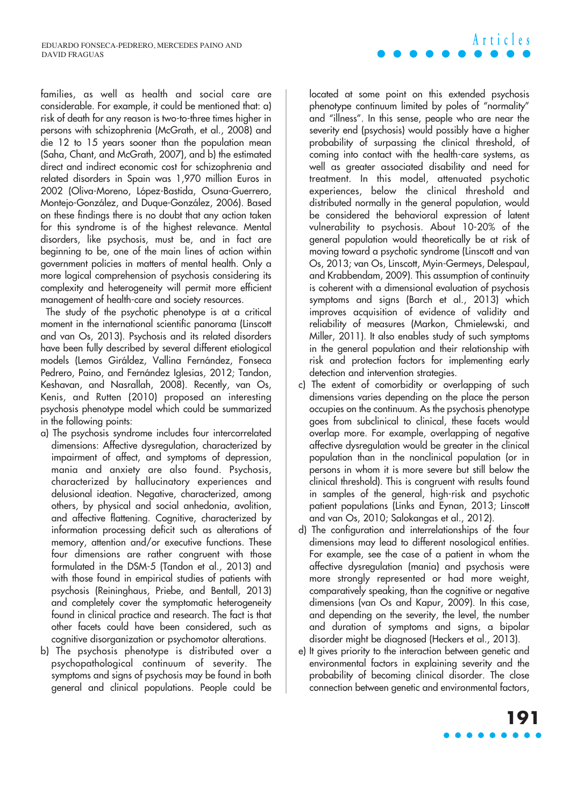families, as well as health and social care are considerable. For example, it could be mentioned that: a) risk of death for any reason is two-to-three times higher in persons with schizophrenia (McGrath, et al., 2008) and die 12 to 15 years sooner than the population mean (Saha, Chant, and McGrath, 2007), and b) the estimated direct and indirect economic cost for schizophrenia and related disorders in Spain was 1,970 million Euros in 2002 (Oliva-Moreno, López-Bastida, Osuna-Guerrero, Montejo-González, and Duque-González, 2006). Based on these findings there is no doubt that any action taken for this syndrome is of the highest relevance. Mental disorders, like psychosis, must be, and in fact are beginning to be, one of the main lines of action within government policies in matters of mental health. Only a more logical comprehension of psychosis considering its complexity and heterogeneity will permit more efficient management of health-care and society resources.

The study of the psychotic phenotype is at a critical moment in the international scientific panorama (Linscott and van Os, 2013). Psychosis and its related disorders have been fully described by several different etiological models (Lemos Giráldez, Vallina Fernández, Fonseca Pedrero, Paino, and Fernández Iglesias, 2012; Tandon, Keshavan, and Nasrallah, 2008). Recently, van Os, Kenis, and Rutten (2010) proposed an interesting psychosis phenotype model which could be summarized in the following points:

- a) The psychosis syndrome includes four intercorrelated dimensions: Affective dysregulation, characterized by impairment of affect, and symptoms of depression, mania and anxiety are also found. Psychosis, characterized by hallucinatory experiences and delusional ideation. Negative, characterized, among others, by physical and social anhedonia, avolition, and affective flattening. Cognitive, characterized by information processing deficit such as alterations of memory, attention and/or executive functions. These four dimensions are rather congruent with those formulated in the DSM-5 (Tandon et al., 2013) and with those found in empirical studies of patients with psychosis (Reininghaus, Priebe, and Bentall, 2013) and completely cover the symptomatic heterogeneity found in clinical practice and research. The fact is that other facets could have been considered, such as cognitive disorganization or psychomotor alterations.
- b) The psychosis phenotype is distributed over a psychopathological continuum of severity. The symptoms and signs of psychosis may be found in both general and clinical populations. People could be

located at some point on this extended psychosis phenotype continuum limited by poles of "normality" and "illness". In this sense, people who are near the severity end (psychosis) would possibly have a higher probability of surpassing the clinical threshold, of coming into contact with the health-care systems, as well as greater associated disability and need for treatment. In this model, attenuated psychotic experiences, below the clinical threshold and distributed normally in the general population, would be considered the behavioral expression of latent vulnerability to psychosis. About 10-20% of the general population would theoretically be at risk of moving toward a psychotic syndrome (Linscott and van Os, 2013; van Os, Linscott, Myin-Germeys, Delespaul, and Krabbendam, 2009). This assumption of continuity is coherent with a dimensional evaluation of psychosis symptoms and signs (Barch et al., 2013) which improves acquisition of evidence of validity and reliability of measures (Markon, Chmielewski, and Miller, 2011). It also enables study of such symptoms in the general population and their relationship with risk and protection factors for implementing early detection and intervention strategies.

**Articles**

- c) The extent of comorbidity or overlapping of such dimensions varies depending on the place the person occupies on the continuum. As the psychosis phenotype goes from subclinical to clinical, these facets would overlap more. For example, overlapping of negative affective dysregulation would be greater in the clinical population than in the nonclinical population (or in persons in whom it is more severe but still below the clinical threshold). This is congruent with results found in samples of the general, high-risk and psychotic patient populations (Links and Eynan, 2013; Linscott and van Os, 2010; Salokangas et al., 2012).
- d) The configuration and interrelationships of the four dimensions may lead to different nosological entities. For example, see the case of a patient in whom the affective dysregulation (mania) and psychosis were more strongly represented or had more weight, comparatively speaking, than the cognitive or negative dimensions (van Os and Kapur, 2009). In this case, and depending on the severity, the level, the number and duration of symptoms and signs, a bipolar disorder might be diagnosed (Heckers et al., 2013).
- e) It gives priority to the interaction between genetic and environmental factors in explaining severity and the probability of becoming clinical disorder. The close connection between genetic and environmental factors,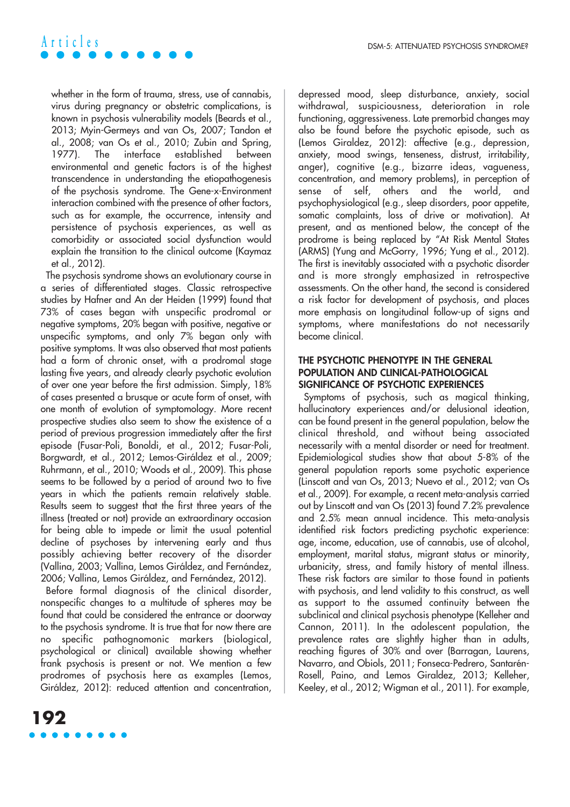

whether in the form of trauma, stress, use of cannabis, virus during pregnancy or obstetric complications, is known in psychosis vulnerability models (Beards et al., 2013; Myin-Germeys and van Os, 2007; Tandon et al., 2008; van Os et al., 2010; Zubin and Spring, 1977). The interface established between environmental and genetic factors is of the highest transcendence in understanding the etiopathogenesis of the psychosis syndrome. The Gene-x-Environment interaction combined with the presence of other factors, such as for example, the occurrence, intensity and persistence of psychosis experiences, as well as comorbidity or associated social dysfunction would explain the transition to the clinical outcome (Kaymaz et al., 2012).

The psychosis syndrome shows an evolutionary course in a series of differentiated stages. Classic retrospective studies by Hafner and An der Heiden (1999) found that 73% of cases began with unspecific prodromal or negative symptoms, 20% began with positive, negative or unspecific symptoms, and only 7% began only with positive symptoms. It was also observed that most patients had a form of chronic onset, with a prodromal stage lasting five years, and already clearly psychotic evolution of over one year before the first admission. Simply, 18% of cases presented a brusque or acute form of onset, with one month of evolution of symptomology. More recent prospective studies also seem to show the existence of a period of previous progression immediately after the first episode (Fusar-Poli, Bonoldi, et al., 2012; Fusar-Poli, Borgwardt, et al., 2012; Lemos-Giráldez et al., 2009; Ruhrmann, et al., 2010; Woods et al., 2009). This phase seems to be followed by a period of around two to five years in which the patients remain relatively stable. Results seem to suggest that the first three years of the illness (treated or not) provide an extraordinary occasion for being able to impede or limit the usual potential decline of psychoses by intervening early and thus possibly achieving better recovery of the disorder (Vallina, 2003; Vallina, Lemos Giráldez, and Fernández, 2006; Vallina, Lemos Giráldez, and Fernández, 2012).

Before formal diagnosis of the clinical disorder, nonspecific changes to a multitude of spheres may be found that could be considered the entrance or doorway to the psychosis syndrome. It is true that for now there are no specific pathognomonic markers (biological, psychological or clinical) available showing whether frank psychosis is present or not. We mention a few prodromes of psychosis here as examples (Lemos, Giráldez, 2012): reduced attention and concentration,



#### **THE PSYCHOTIC PHENOTYPE IN THE GENERAL POPULATION AND CLINICAL-PATHOLOGICAL SIGNIFICANCE OF PSYCHOTIC EXPERIENCES**

Symptoms of psychosis, such as magical thinking, hallucinatory experiences and/or delusional ideation, can be found present in the general population, below the clinical threshold, and without being associated necessarily with a mental disorder or need for treatment. Epidemiological studies show that about 5-8% of the general population reports some psychotic experience (Linscott and van Os, 2013; Nuevo et al., 2012; van Os et al., 2009). For example, a recent meta-analysis carried out by Linscott and van Os (2013) found 7.2% prevalence and 2.5% mean annual incidence. This meta-analysis identified risk factors predicting psychotic experience: age, income, education, use of cannabis, use of alcohol, employment, marital status, migrant status or minority, urbanicity, stress, and family history of mental illness. These risk factors are similar to those found in patients with psychosis, and lend validity to this construct, as well as support to the assumed continuity between the subclinical and clinical psychosis phenotype (Kelleher and Cannon, 2011). In the adolescent population, the prevalence rates are slightly higher than in adults, reaching figures of 30% and over (Barragan, Laurens, Navarro, and Obiols, 2011; Fonseca-Pedrero, Santarén-Rosell, Paino, and Lemos Giraldez, 2013; Kelleher, Keeley, et al., 2012; Wigman et al., 2011). For example,

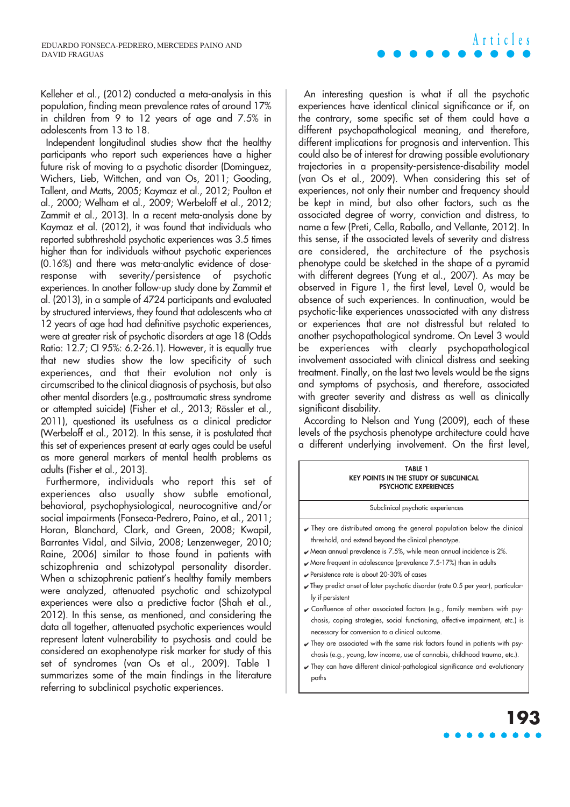Kelleher et al., (2012) conducted a meta-analysis in this population, finding mean prevalence rates of around 17% in children from 9 to 12 years of age and 7.5% in adolescents from 13 to 18.

Independent longitudinal studies show that the healthy participants who report such experiences have a higher future risk of moving to a psychotic disorder (Dominguez, Wichers, Lieb, Wittchen, and van Os, 2011; Gooding, Tallent, and Matts, 2005; Kaymaz et al., 2012; Poulton et al., 2000; Welham et al., 2009; Werbeloff et al., 2012; Zammit et al., 2013). In a recent meta-analysis done by Kaymaz et al. (2012), it was found that individuals who reported subthreshold psychotic experiences was 3.5 times higher than for individuals without psychotic experiences (0.16%) and there was meta-analytic evidence of doseresponse with severity/persistence of psychotic experiences. In another follow-up study done by Zammit et al. (2013), in a sample of 4724 participants and evaluated by structured interviews, they found that adolescents who at 12 years of age had had definitive psychotic experiences, were at greater risk of psychotic disorders at age 18 (Odds Ratio: 12.7; CI 95%: 6.2-26.1). However, it is equally true that new studies show the low specificity of such experiences, and that their evolution not only is circumscribed to the clinical diagnosis of psychosis, but also other mental disorders (e.g., posttraumatic stress syndrome or attempted suicide) (Fisher et al., 2013; Rössler et al., 2011), questioned its usefulness as a clinical predictor (Werbeloff et al., 2012). In this sense, it is postulated that this set of experiences present at early ages could be useful as more general markers of mental health problems as adults (Fisher et al., 2013).

Furthermore, individuals who report this set of experiences also usually show subtle emotional, behavioral, psychophysiological, neurocognitive and/or social impairments (Fonseca-Pedrero, Paino, et al., 2011; Horan, Blanchard, Clark, and Green, 2008; Kwapil, Barrantes Vidal, and Silvia, 2008; Lenzenweger, 2010; Raine, 2006) similar to those found in patients with schizophrenia and schizotypal personality disorder. When a schizophrenic patient's healthy family members were analyzed, attenuated psychotic and schizotypal experiences were also a predictive factor (Shah et al., 2012). In this sense, as mentioned, and considering the data all together, attenuated psychotic experiences would represent latent vulnerability to psychosis and could be considered an exophenotype risk marker for study of this set of syndromes (van Os et al., 2009). Table 1 summarizes some of the main findings in the literature referring to subclinical psychotic experiences.

An interesting question is what if all the psychotic experiences have identical clinical significance or if, on the contrary, some specific set of them could have a different psychopathological meaning, and therefore, different implications for prognosis and intervention. This could also be of interest for drawing possible evolutionary trajectories in a propensity-persistence-disability model (van Os et al., 2009). When considering this set of experiences, not only their number and frequency should be kept in mind, but also other factors, such as the associated degree of worry, conviction and distress, to name a few (Preti, Cella, Raballo, and Vellante, 2012). In this sense, if the associated levels of severity and distress are considered, the architecture of the psychosis phenotype could be sketched in the shape of a pyramid with different degrees (Yung et al., 2007). As may be observed in Figure 1, the first level, Level 0, would be absence of such experiences. In continuation, would be psychotic-like experiences unassociated with any distress or experiences that are not distressful but related to another psychopathological syndrome. On Level 3 would be experiences with clearly psychopathological involvement associated with clinical distress and seeking treatment. Finally, on the last two levels would be the signs and symptoms of psychosis, and therefore, associated with greater severity and distress as well as clinically significant disability.

According to Nelson and Yung (2009), each of these levels of the psychosis phenotype architecture could have a different underlying involvement. On the first level,

#### **TABLE 1 KEY POINTS IN THE STUDY OF SUBCLINICAL PSYCHOTIC EXPERIENCES**

Subclinical psychotic experiences

- ✔ They are distributed among the general population below the clinical threshold, and extend beyond the clinical phenotype.
- $\blacktriangleright$  Mean annual prevalence is 7.5%, while mean annual incidence is 2%.
- $\sqrt{2}$  More frequent in adolescence (prevalence 7.5-17%) than in adults
- ✔ Persistence rate is about 20-30% of cases
- $\blacktriangleright$  They predict onset of later psychotic disorder (rate 0.5 per year), particularly if persistent
- ✔ Confluence of other associated factors (e.g., family members with psychosis, coping strategies, social functioning, affective impairment, etc.) is necessary for conversion to a clinical outcome.
- ✔ They are associated with the same risk factors found in patients with psychosis (e.g., young, low income, use of cannabis, childhood trauma, etc.).
- ✔ They can have different clinical-pathological significance and evolutionary paths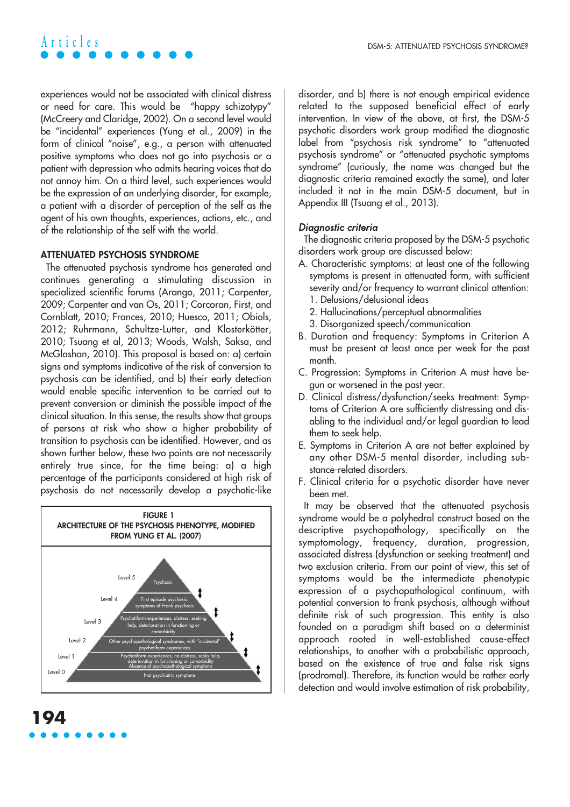experiences would not be associated with clinical distress or need for care. This would be "happy schizotypy" (McCreery and Claridge, 2002). On a second level would be "incidental" experiences (Yung et al., 2009) in the form of clinical "noise", e.g., a person with attenuated positive symptoms who does not go into psychosis or a patient with depression who admits hearing voices that do not annoy him. On a third level, such experiences would be the expression of an underlying disorder, for example, a patient with a disorder of perception of the self as the agent of his own thoughts, experiences, actions, etc., and of the relationship of the self with the world.

#### **ATTENUATED PSYCHOSIS SYNDROME**

The attenuated psychosis syndrome has generated and continues generating a stimulating discussion in specialized scientific forums (Arango, 2011; Carpenter, 2009; Carpenter and van Os, 2011; Corcoran, First, and Cornblatt, 2010; Frances, 2010; Huesco, 2011; Obiols, 2012; Ruhrmann, Schultze-Lutter, and Klosterkötter, 2010; Tsuang et al, 2013; Woods, Walsh, Saksa, and McGlashan, 2010). This proposal is based on: a) certain signs and symptoms indicative of the risk of conversion to psychosis can be identified, and b) their early detection would enable specific intervention to be carried out to prevent conversion or diminish the possible impact of the clinical situation. In this sense, the results show that groups of persons at risk who show a higher probability of transition to psychosis can be identified. However, and as shown further below, these two points are not necessarily entirely true since, for the time being: a) a high percentage of the participants considered at high risk of psychosis do not necessarily develop a psychotic-like



disorder, and b) there is not enough empirical evidence related to the supposed beneficial effect of early intervention. In view of the above, at first, the DSM-5 psychotic disorders work group modified the diagnostic label from "psychosis risk syndrome" to "attenuated psychosis syndrome" or "attenuated psychotic symptoms syndrome" (curiously, the name was changed but the diagnostic criteria remained exactly the same), and later included it not in the main DSM-5 document, but in Appendix III (Tsuang et al., 2013).

#### Diagnostic criteria

The diagnostic criteria proposed by the DSM-5 psychotic disorders work group are discussed below:

- A. Characteristic symptoms: at least one of the following symptoms is present in attenuated form, with sufficient severity and/or frequency to warrant clinical attention: 1. Delusions/delusional ideas
	- 2. Hallucinations/perceptual abnormalities
	- 3. Disorganized speech/communication
- B. Duration and frequency: Symptoms in Criterion A must be present at least once per week for the past month.
- C. Progression: Symptoms in Criterion A must have begun or worsened in the past year.
- D. Clinical distress/dysfunction/seeks treatment: Symptoms of Criterion A are sufficiently distressing and disabling to the individual and/or legal guardian to lead them to seek help.
- E. Symptoms in Criterion A are not better explained by any other DSM-5 mental disorder, including substance-related disorders.
- F. Clinical criteria for a psychotic disorder have never been met.

It may be observed that the attenuated psychosis syndrome would be a polyhedral construct based on the descriptive psychopathology, specifically on the symptomology, frequency, duration, progression, associated distress (dysfunction or seeking treatment) and two exclusion criteria. From our point of view, this set of symptoms would be the intermediate phenotypic expression of a psychopathological continuum, with potential conversion to frank psychosis, although without definite risk of such progression. This entity is also founded on a paradigm shift based on a determinist approach rooted in well-established cause-effect relationships, to another with a probabilistic approach, based on the existence of true and false risk signs (prodromal). Therefore, its function would be rather early detection and would involve estimation of risk probability,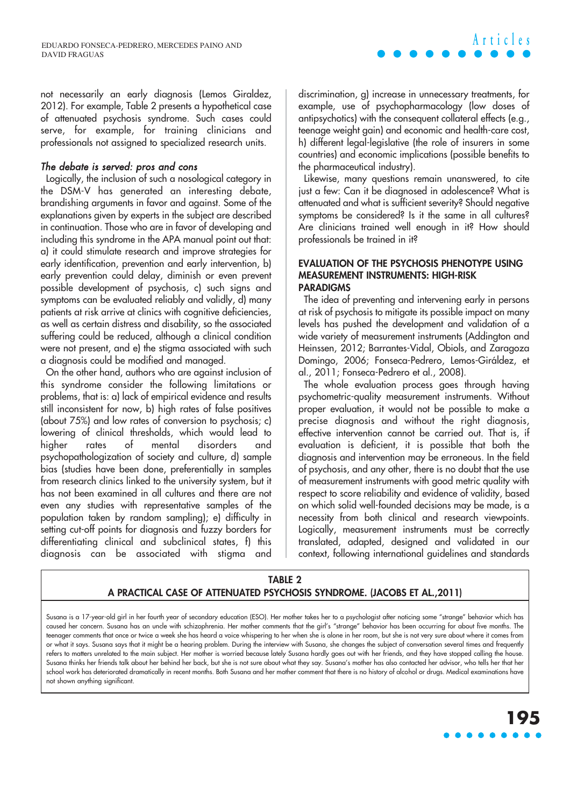not necessarily an early diagnosis (Lemos Giraldez, 2012). For example, Table 2 presents a hypothetical case of attenuated psychosis syndrome. Such cases could serve, for example, for training clinicians and professionals not assigned to specialized research units.

#### The debate is served: pros and cons

Logically, the inclusion of such a nosological category in the DSM-V has generated an interesting debate, brandishing arguments in favor and against. Some of the explanations given by experts in the subject are described in continuation. Those who are in favor of developing and including this syndrome in the APA manual point out that: a) it could stimulate research and improve strategies for early identification, prevention and early intervention, b) early prevention could delay, diminish or even prevent possible development of psychosis, c) such signs and symptoms can be evaluated reliably and validly, d) many patients at risk arrive at clinics with cognitive deficiencies, as well as certain distress and disability, so the associated suffering could be reduced, although a clinical condition were not present, and e) the stigma associated with such a diagnosis could be modified and managed.

On the other hand, authors who are against inclusion of this syndrome consider the following limitations or problems, that is: a) lack of empirical evidence and results still inconsistent for now, b) high rates of false positives (about 75%) and low rates of conversion to psychosis; c) lowering of clinical thresholds, which would lead to higher rates of mental disorders and psychopathologization of society and culture, d) sample bias (studies have been done, preferentially in samples from research clinics linked to the university system, but it has not been examined in all cultures and there are not even any studies with representative samples of the population taken by random sampling); e) difficulty in setting cut-off points for diagnosis and fuzzy borders for differentiating clinical and subclinical states, f) this diagnosis can be associated with stigma and discrimination, g) increase in unnecessary treatments, for example, use of psychopharmacology (low doses of antipsychotics) with the consequent collateral effects (e.g., teenage weight gain) and economic and health-care cost, h) different legal-legislative (the role of insurers in some countries) and economic implications (possible benefits to the pharmaceutical industry).

Likewise, many questions remain unanswered, to cite just a few: Can it be diagnosed in adolescence? What is attenuated and what is sufficient severity? Should negative symptoms be considered? Is it the same in all cultures? Are clinicians trained well enough in it? How should professionals be trained in it?

#### **EVALUATION OF THE PSYCHOSIS PHENOTYPE USING MEASUREMENT INSTRUMENTS: HIGH-RISK PARADIGMS**

The idea of preventing and intervening early in persons at risk of psychosis to mitigate its possible impact on many levels has pushed the development and validation of a wide variety of measurement instruments (Addington and Heinssen, 2012; Barrantes-Vidal, Obiols, and Zaragoza Domingo, 2006; Fonseca-Pedrero, Lemos-Giráldez, et al., 2011; Fonseca-Pedrero et al., 2008).

The whole evaluation process goes through having psychometric-quality measurement instruments. Without proper evaluation, it would not be possible to make a precise diagnosis and without the right diagnosis, effective intervention cannot be carried out. That is, if evaluation is deficient, it is possible that both the diagnosis and intervention may be erroneous. In the field of psychosis, and any other, there is no doubt that the use of measurement instruments with good metric quality with respect to score reliability and evidence of validity, based on which solid well-founded decisions may be made, is a necessity from both clinical and research viewpoints. Logically, measurement instruments must be correctly translated, adapted, designed and validated in our context, following international guidelines and standards

#### **TABLE 2 A PRACTICAL CASE OF ATTENUATED PSYCHOSIS SYNDROME. (JACOBS ET AL.,2011)**

Susana is a 17-year-old girl in her fourth year of secondary education (ESO). Her mother takes her to a psychologist after noticing some "strange" behavior which has caused her concern. Susana has an uncle with schizophrenia. Her mother comments that the girl's "strange" behavior has been occurring for about five months. The teenager comments that once or twice a week she has heard a voice whispering to her when she is alone in her room, but she is not very sure about where it comes from or what it says. Susana says that it might be a hearing problem. During the interview with Susana, she changes the subject of conversation several times and frequently refers to matters unrelated to the main subject. Her mother is worried because lately Susana hardly goes out with her friends, and they have stopped calling the house. Susana thinks her friends talk about her behind her back, but she is not sure about what they say. Susana's mother has also contacted her advisor, who tells her that her school work has deteriorated dramatically in recent months. Both Susana and her mother comment that there is no history of alcohol or drugs. Medical examinations have not shown anything significant.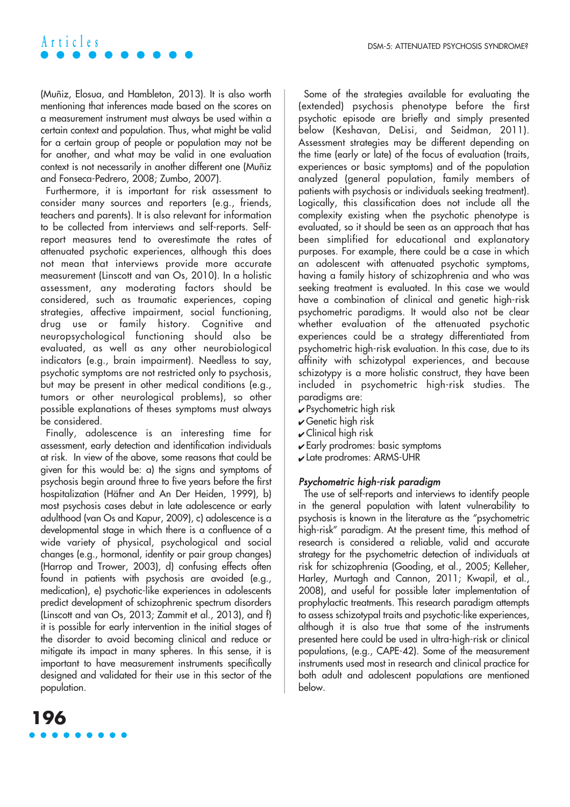(Muñiz, Elosua, and Hambleton, 2013). It is also worth mentioning that inferences made based on the scores on a measurement instrument must always be used within a certain context and population. Thus, what might be valid for a certain group of people or population may not be for another, and what may be valid in one evaluation context is not necessarily in another different one (Muñiz and Fonseca-Pedrero, 2008; Zumbo, 2007).

Furthermore, it is important for risk assessment to consider many sources and reporters (e.g., friends, teachers and parents). It is also relevant for information to be collected from interviews and self-reports. Selfreport measures tend to overestimate the rates of attenuated psychotic experiences, although this does not mean that interviews provide more accurate measurement (Linscott and van Os, 2010). In a holistic assessment, any moderating factors should be considered, such as traumatic experiences, coping strategies, affective impairment, social functioning, drug use or family history. Cognitive and neuropsychological functioning should also be evaluated, as well as any other neurobiological indicators (e.g., brain impairment). Needless to say, psychotic symptoms are not restricted only to psychosis, but may be present in other medical conditions (e.g., tumors or other neurological problems), so other possible explanations of theses symptoms must always be considered.

Finally, adolescence is an interesting time for assessment, early detection and identification individuals at risk. In view of the above, some reasons that could be given for this would be: a) the signs and symptoms of psychosis begin around three to five years before the first hospitalization (Häfner and An Der Heiden, 1999), b) most psychosis cases debut in late adolescence or early adulthood (van Os and Kapur, 2009), c) adolescence is a developmental stage in which there is a confluence of a wide variety of physical, psychological and social changes (e.g., hormonal, identity or pair group changes) (Harrop and Trower, 2003), d) confusing effects often found in patients with psychosis are avoided (e.g., medication), e) psychotic-like experiences in adolescents predict development of schizophrenic spectrum disorders (Linscott and van Os, 2013; Zammit et al., 2013), and f) it is possible for early intervention in the initial stages of the disorder to avoid becoming clinical and reduce or mitigate its impact in many spheres. In this sense, it is important to have measurement instruments specifically designed and validated for their use in this sector of the population.

**196**



- $\blacktriangleright$  Psychometric high risk
- $\sqrt{\frac{1}{2}}$  Genetic high risk
- $\mathcal V$  Clinical high risk
- ✔ Early prodromes: basic symptoms
- ✔ Late prodromes: ARMS-UHR

#### Psychometric high-risk paradigm

The use of self-reports and interviews to identify people in the general population with latent vulnerability to psychosis is known in the literature as the "psychometric high-risk" paradigm. At the present time, this method of research is considered a reliable, valid and accurate strategy for the psychometric detection of individuals at risk for schizophrenia (Gooding, et al., 2005; Kelleher, Harley, Murtagh and Cannon, 2011; Kwapil, et al., 2008), and useful for possible later implementation of prophylactic treatments. This research paradigm attempts to assess schizotypal traits and psychotic-like experiences, although it is also true that some of the instruments presented here could be used in ultra-high-risk or clinical populations, (e.g., CAPE-42). Some of the measurement instruments used most in research and clinical practice for both adult and adolescent populations are mentioned below.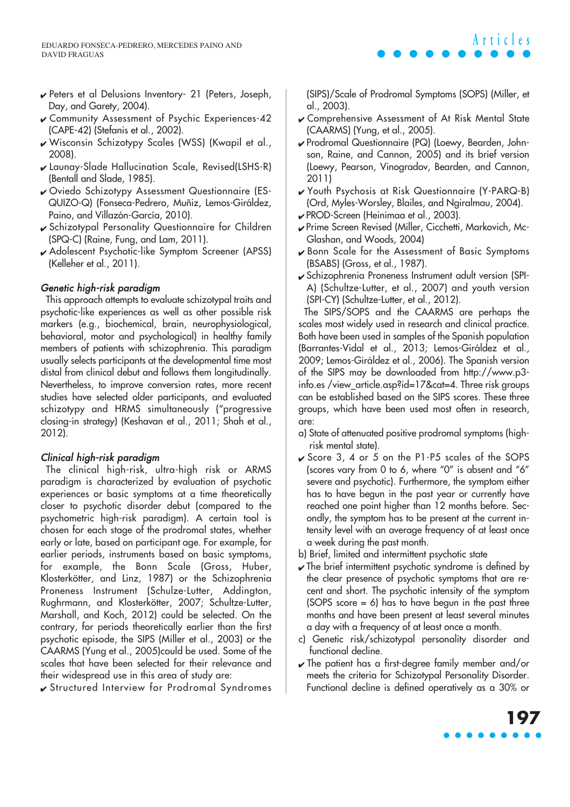- ✔ Peters et al Delusions Inventory- 21 (Peters, Joseph, Day, and Garety, 2004).
- ✔ Community Assessment of Psychic Experiences-42 (CAPE-42) (Stefanis et al., 2002).
- ✔ Wisconsin Schizotypy Scales (WSS) (Kwapil et al., 2008).
- ✔ Launay-Slade Hallucination Scale, Revised(LSHS-R) (Bentall and Slade, 1985).
- ✔ Oviedo Schizotypy Assessment Questionnaire (ES-QUIZO-Q) (Fonseca-Pedrero, Muñiz, Lemos-Giráldez, Paino, and Villazón-García, 2010).
- ✔ Schizotypal Personality Questionnaire for Children (SPQ-C) (Raine, Fung, and Lam, 2011).
- ✔ Adolescent Psychotic-like Symptom Screener (APSS) (Kelleher et al., 2011).

#### Genetic high-risk paradigm

This approach attempts to evaluate schizotypal traits and psychotic-like experiences as well as other possible risk markers (e.g., biochemical, brain, neurophysiological, behavioral, motor and psychological) in healthy family members of patients with schizophrenia. This paradigm usually selects participants at the developmental time most distal from clinical debut and follows them longitudinally. Nevertheless, to improve conversion rates, more recent studies have selected older participants, and evaluated schizotypy and HRMS simultaneously ("progressive closing-in strategy) (Keshavan et al., 2011; Shah et al., 2012).

#### Clinical high-risk paradigm

The clinical high-risk, ultra-high risk or ARMS paradigm is characterized by evaluation of psychotic experiences or basic symptoms at a time theoretically closer to psychotic disorder debut (compared to the psychometric high-risk paradigm). A certain tool is chosen for each stage of the prodromal states, whether early or late, based on participant age. For example, for earlier periods, instruments based on basic symptoms, for example, the Bonn Scale (Gross, Huber, Klosterkötter, and Linz, 1987) or the Schizophrenia Proneness Instrument (Schulze-Lutter, Addington, Rughrmann, and Klosterkötter, 2007; Schultze-Lutter, Marshall, and Koch, 2012) could be selected. On the contrary, for periods theoretically earlier than the first psychotic episode, the SIPS (Miller et al., 2003) or the CAARMS (Yung et al., 2005)could be used. Some of the scales that have been selected for their relevance and their widespread use in this area of study are:

✔ Structured Interview for Prodromal Syndromes



(SIPS)/Scale of Prodromal Symptoms (SOPS) (Miller, et al., 2003).

- ✔ Comprehensive Assessment of At Risk Mental State (CAARMS) (Yung, et al., 2005).
- ✔ Prodromal Questionnaire (PQ) (Loewy, Bearden, Johnson, Raine, and Cannon, 2005) and its brief version (Loewy, Pearson, Vinogradov, Bearden, and Cannon, 2011)
- ✔ Youth Psychosis at Risk Questionnaire (Y-PARQ-B) (Ord, Myles-Worsley, Blailes, and Ngiralmau, 2004).
- ✔ PROD-Screen (Heinimaa et al., 2003).
- ✔ Prime Screen Revised (Miller, Cicchetti, Markovich, Mc-Glashan, and Woods, 2004)
- ✔ Bonn Scale for the Assessment of Basic Symptoms (BSABS) (Gross, et al., 1987).
- ✔ Schizophrenia Proneness Instrument adult version (SPI-A) (Schultze-Lutter, et al., 2007) and youth version (SPI-CY) (Schultze-Lutter, et al., 2012).

The SIPS/SOPS and the CAARMS are perhaps the scales most widely used in research and clinical practice. Both have been used in samples of the Spanish population (Barrantes-Vidal et al., 2013; Lemos-Giráldez et al., 2009; Lemos-Giráldez et al., 2006). The Spanish version of the SIPS may be downloaded from http://www.p3 info.es /view\_article.asp?id=17&cat=4. Three risk groups can be established based on the SIPS scores. These three groups, which have been used most often in research, are:

- a) State of attenuated positive prodromal symptoms (highrisk mental state).
- ✔ Score 3, 4 or 5 on the P1-P5 scales of the SOPS (scores vary from 0 to 6, where "0" is absent and "6" severe and psychotic). Furthermore, the symptom either has to have begun in the past year or currently have reached one point higher than 12 months before. Secondly, the symptom has to be present at the current intensity level with an average frequency of at least once a week during the past month.
- b) Brief, limited and intermittent psychotic state
- $\sqrt{\ }$  The brief intermittent psychotic syndrome is defined by the clear presence of psychotic symptoms that are recent and short. The psychotic intensity of the symptom (SOPS score  $= 6$ ) has to have begun in the past three months and have been present at least several minutes a day with a frequency of at least once a month.
- c) Genetic risk/schizotypal personality disorder and functional decline.
- $\sqrt{\ }$  The patient has a first-degree family member and/or meets the criteria for Schizotypal Personality Disorder. Functional decline is defined operatively as a 30% or

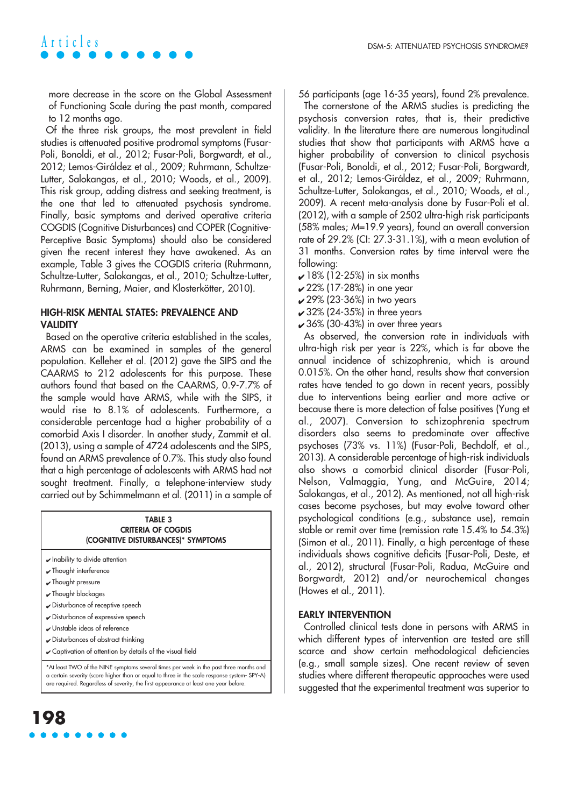more decrease in the score on the Global Assessment of Functioning Scale during the past month, compared to 12 months ago.

Of the three risk groups, the most prevalent in field studies is attenuated positive prodromal symptoms (Fusar-Poli, Bonoldi, et al., 2012; Fusar-Poli, Borgwardt, et al., 2012; Lemos-Giráldez et al., 2009; Ruhrmann, Schultze-Lutter, Salokangas, et al., 2010; Woods, et al., 2009). This risk group, adding distress and seeking treatment, is the one that led to attenuated psychosis syndrome. Finally, basic symptoms and derived operative criteria COGDIS (Cognitive Disturbances) and COPER (Cognitive-Perceptive Basic Symptoms) should also be considered given the recent interest they have awakened. As an example, Table 3 gives the COGDIS criteria (Ruhrmann, Schultze-Lutter, Salokangas, et al., 2010; Schultze-Lutter, Ruhrmann, Berning, Maier, and Klosterkötter, 2010).

#### **HIGH-RISK MENTAL STATES: PREVALENCE AND VALIDITY**

Based on the operative criteria established in the scales, ARMS can be examined in samples of the general population. Kelleher et al. (2012) gave the SIPS and the CAARMS to 212 adolescents for this purpose. These authors found that based on the CAARMS, 0.9-7.7% of the sample would have ARMS, while with the SIPS, it would rise to 8.1% of adolescents. Furthermore, a considerable percentage had a higher probability of a comorbid Axis I disorder. In another study, Zammit et al. (2013), using a sample of 4724 adolescents and the SIPS, found an ARMS prevalence of 0.7%. This study also found that a high percentage of adolescents with ARMS had not sought treatment. Finally, a telephone-interview study carried out by Schimmelmann et al. (2011) in a sample of

| TABLE 3<br><b>CRITERIA OF COGDIS</b><br>(COGNITIVE DISTURBANCES)* SYMPTOMS                                                                                                                                                                                                    |
|-------------------------------------------------------------------------------------------------------------------------------------------------------------------------------------------------------------------------------------------------------------------------------|
| $\sqrt{}$ Inability to divide attention                                                                                                                                                                                                                                       |
| $\sqrt{}$ Thought interference                                                                                                                                                                                                                                                |
| $\sqrt{\ }$ Thought pressure                                                                                                                                                                                                                                                  |
| $\sqrt{}$ Thought blockages                                                                                                                                                                                                                                                   |
| ✔ Disturbance of receptive speech                                                                                                                                                                                                                                             |
| ✔ Disturbance of expressive speech                                                                                                                                                                                                                                            |
| Unstable ideas of reference                                                                                                                                                                                                                                                   |
| ✔ Disturbances of abstract thinking                                                                                                                                                                                                                                           |
| Captivation of attention by details of the visual field                                                                                                                                                                                                                       |
| *At least TWO of the NINE symptoms several times per week in the past three months and<br>a certain severity (score higher than or equal to three in the scale response system-SPY-A)<br>are required. Regardless of severity, the first appearance at least one year before. |

# **198**

56 participants (age 16-35 years), found 2% prevalence.

The cornerstone of the ARMS studies is predicting the psychosis conversion rates, that is, their predictive validity. In the literature there are numerous longitudinal studies that show that participants with ARMS have a higher probability of conversion to clinical psychosis (Fusar-Poli, Bonoldi, et al., 2012; Fusar-Poli, Borgwardt, et al., 2012; Lemos-Giráldez, et al., 2009; Ruhrmann, Schultze-Lutter, Salokangas, et al., 2010; Woods, et al., 2009). A recent meta-analysis done by Fusar-Poli et al. (2012), with a sample of 2502 ultra-high risk participants (58% males; M=19.9 years), found an overall conversion rate of 29.2% (CI: 27.3-31.1%), with a mean evolution of 31 months. Conversion rates by time interval were the following:

- $\sqrt{18\% (12-25\%)}$  in six months
- $22%$  (17-28%) in one year
- $\boldsymbol{\nu}$  29% (23-36%) in two years
- $\sqrt{32\% (24-35\%)}$  in three years
- $\sqrt{36\%}$  (30-43%) in over three years

As observed, the conversion rate in individuals with ultra-high risk per year is 22%, which is far above the annual incidence of schizophrenia, which is around 0.015%. On the other hand, results show that conversion rates have tended to go down in recent years, possibly due to interventions being earlier and more active or because there is more detection of false positives (Yung et al., 2007). Conversion to schizophrenia spectrum disorders also seems to predominate over affective psychoses (73% vs. 11%) (Fusar-Poli, Bechdolf, et al., 2013). A considerable percentage of high-risk individuals also shows a comorbid clinical disorder (Fusar-Poli, Nelson, Valmaggia, Yung, and McGuire, 2014; Salokangas, et al., 2012). As mentioned, not all high-risk cases become psychoses, but may evolve toward other psychological conditions (e.g., substance use), remain stable or remit over time (remission rate 15.4% to 54.3%) (Simon et al., 2011). Finally, a high percentage of these individuals shows cognitive deficits (Fusar-Poli, Deste, et al., 2012), structural (Fusar-Poli, Radua, McGuire and Borgwardt, 2012) and/or neurochemical changes (Howes et al., 2011).

#### **EARLY INTERVENTION**

Controlled clinical tests done in persons with ARMS in which different types of intervention are tested are still scarce and show certain methodological deficiencies (e.g., small sample sizes). One recent review of seven studies where different therapeutic approaches were used suggested that the experimental treatment was superior to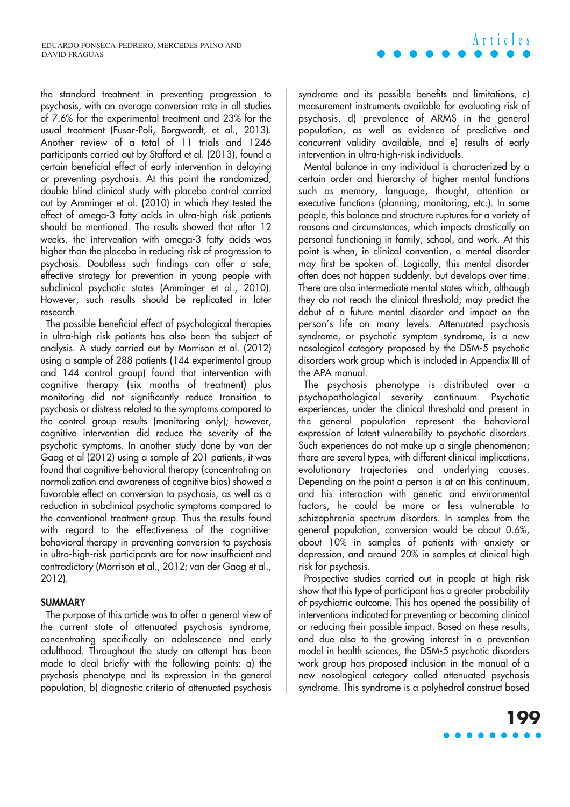the standard treatment in preventing progression to psychosis, with an average conversion rate in all studies of 7.6% for the experimental treatment and 23% for the usual treatment (Fusar-Poli, Borgwardt, et al., 2013). Another review of a total of 11 trials and 1246 participants carried out by Stafford et al. (2013), found a certain beneficial effect of early intervention in delaying or preventing psychosis. At this point the randomized, double blind clinical study with placebo control carried out by Amminger et al. (2010) in which they tested the effect of omega-3 fatty acids in ultra-high risk patients should be mentioned. The results showed that after 12 weeks, the intervention with omega-3 fatty acids was higher than the placebo in reducing risk of progression to psychosis. Doubtless such findings can offer a safe, effective strategy for prevention in young people with subclinical psychotic states (Amminger et al., 2010). However, such results should be replicated in later research.

The possible beneficial effect of psychological therapies in ultra-high risk patients has also been the subject of analysis. A study carried out by Morrison et al. (2012) using a sample of 288 patients (144 experimental group and 144 control group) found that intervention with cognitive therapy (six months of treatment) plus monitoring did not significantly reduce transition to psychosis or distress related to the symptoms compared to the control group results (monitoring only); however, cognitive intervention did reduce the severity of the psychotic symptoms. In another study done by van der Gaag et al (2012) using a sample of 201 patients, it was found that cognitive-behavioral therapy (concentrating on normalization and awareness of cognitive bias) showed a favorable effect on conversion to psychosis, as well as a reduction in subclinical psychotic symptoms compared to the conventional treatment group. Thus the results found with regard to the effectiveness of the cognitivebehavioral therapy in preventing conversion to psychosis in ultra-high-risk participants are for now insufficient and contradictory (Morrison et al., 2012; van der Gaag et al., 2012).

#### **SUMMARY**

The purpose of this article was to offer a general view of the current state of attenuated psychosis syndrome, concentrating specifically on adolescence and early adulthood. Throughout the study an attempt has been made to deal briefly with the following points: a) the psychosis phenotype and its expression in the general population, b) diagnostic criteria of attenuated psychosis syndrome and its possible benefits and limitations, c) measurement instruments available for evaluating risk of psychosis, d) prevalence of ARMS in the general population, as well as evidence of predictive and concurrent validity available, and e) results of early intervention in ultra-high-risk individuals.

**Articles**

Mental balance in any individual is characterized by a certain order and hierarchy of higher mental functions such as memory, language, thought, attention or executive functions (planning, monitoring, etc.). In some people, this balance and structure ruptures for a variety of reasons and circumstances, which impacts drastically on personal functioning in family, school, and work. At this point is when, in clinical convention, a mental disorder may first be spoken of. Logically, this mental disorder often does not happen suddenly, but develops over time. There are also intermediate mental states which, although they do not reach the clinical threshold, may predict the debut of a future mental disorder and impact on the person's life on many levels. Attenuated psychosis syndrome, or psychotic symptom syndrome, is a new nosological category proposed by the DSM-5 psychotic disorders work group which is included in Appendix III of the APA manual.

The psychosis phenotype is distributed over a psychopathological severity continuum. Psychotic experiences, under the clinical threshold and present in the general population represent the behavioral expression of latent vulnerability to psychotic disorders. Such experiences do not make up a single phenomenon; there are several types, with different clinical implications, evolutionary trajectories and underlying causes. Depending on the point a person is at on this continuum, and his interaction with genetic and environmental factors, he could be more or less vulnerable to schizophrenia spectrum disorders. In samples from the general population, conversion would be about 0.6%, about 10% in samples of patients with anxiety or depression, and around 20% in samples at clinical high risk for psychosis.

Prospective studies carried out in people at high risk show that this type of participant has a greater probability of psychiatric outcome. This has opened the possibility of interventions indicated for preventing or becoming clinical or reducing their possible impact. Based on these results, and due also to the growing interest in a prevention model in health sciences, the DSM-5 psychotic disorders work group has proposed inclusion in the manual of a new nosological category called attenuated psychosis syndrome. This syndrome is a polyhedral construct based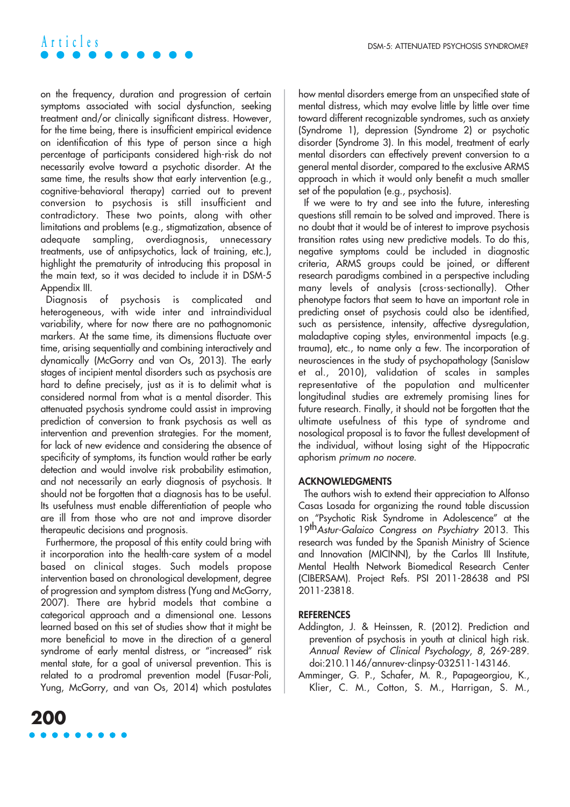on the frequency, duration and progression of certain symptoms associated with social dysfunction, seeking treatment and/or clinically significant distress. However, for the time being, there is insufficient empirical evidence on identification of this type of person since a high percentage of participants considered high-risk do not necessarily evolve toward a psychotic disorder. At the same time, the results show that early intervention (e.g., cognitive-behavioral therapy) carried out to prevent conversion to psychosis is still insufficient and contradictory. These two points, along with other limitations and problems (e.g., stigmatization, absence of adequate sampling, overdiagnosis, unnecessary treatments, use of antipsychotics, lack of training, etc.), highlight the prematurity of introducing this proposal in the main text, so it was decided to include it in DSM-5 Appendix III.

Diagnosis of psychosis is complicated and heterogeneous, with wide inter and intraindividual variability, where for now there are no pathognomonic markers. At the same time, its dimensions fluctuate over time, arising sequentially and combining interactively and dynamically (McGorry and van Os, 2013). The early stages of incipient mental disorders such as psychosis are hard to define precisely, just as it is to delimit what is considered normal from what is a mental disorder. This attenuated psychosis syndrome could assist in improving prediction of conversion to frank psychosis as well as intervention and prevention strategies. For the moment, for lack of new evidence and considering the absence of specificity of symptoms, its function would rather be early detection and would involve risk probability estimation, and not necessarily an early diagnosis of psychosis. It should not be forgotten that a diagnosis has to be useful. Its usefulness must enable differentiation of people who are ill from those who are not and improve disorder therapeutic decisions and prognosis.

Furthermore, the proposal of this entity could bring with it incorporation into the health-care system of a model based on clinical stages. Such models propose intervention based on chronological development, degree of progression and symptom distress (Yung and McGorry, 2007). There are hybrid models that combine a categorical approach and a dimensional one. Lessons learned based on this set of studies show that it might be more beneficial to move in the direction of a general syndrome of early mental distress, or "increased" risk mental state, for a goal of universal prevention. This is related to a prodromal prevention model (Fusar-Poli, Yung, McGorry, and van Os, 2014) which postulates how mental disorders emerge from an unspecified state of mental distress, which may evolve little by little over time toward different recognizable syndromes, such as anxiety (Syndrome 1), depression (Syndrome 2) or psychotic disorder (Syndrome 3). In this model, treatment of early mental disorders can effectively prevent conversion to a general mental disorder, compared to the exclusive ARMS approach in which it would only benefit a much smaller set of the population (e.g., psychosis).

If we were to try and see into the future, interesting questions still remain to be solved and improved. There is no doubt that it would be of interest to improve psychosis transition rates using new predictive models. To do this, negative symptoms could be included in diagnostic criteria, ARMS groups could be joined, or different research paradigms combined in a perspective including many levels of analysis (cross-sectionally). Other phenotype factors that seem to have an important role in predicting onset of psychosis could also be identified, such as persistence, intensity, affective dysregulation, maladaptive coping styles, environmental impacts (e.g. trauma), etc., to name only a few. The incorporation of neurosciences in the study of psychopathology (Sanislow et al., 2010), validation of scales in samples representative of the population and multicenter longitudinal studies are extremely promising lines for future research. Finally, it should not be forgotten that the ultimate usefulness of this type of syndrome and nosological proposal is to favor the fullest development of the individual, without losing sight of the Hippocratic aphorism primum no nocere.

#### **ACKNOWLEDGMENTS**

The authors wish to extend their appreciation to Alfonso Casas Losada for organizing the round table discussion on "Psychotic Risk Syndrome in Adolescence" at the 19th Astur-Galaico Congress on Psychiatry 2013. This research was funded by the Spanish Ministry of Science and Innovation (MICINN), by the Carlos III Institute, Mental Health Network Biomedical Research Center (CIBERSAM). Project Refs. PSI 2011-28638 and PSI 2011-23818.

#### **REFERENCES**

- Addington, J. & Heinssen, R. (2012). Prediction and prevention of psychosis in youth at clinical high risk. Annual Review of Clinical Psychology, 8, 269-289. doi:210.1146/annurev-clinpsy-032511-143146.
- Amminger, G. P., Schafer, M. R., Papageorgiou, K., Klier, C. M., Cotton, S. M., Harrigan, S. M.,

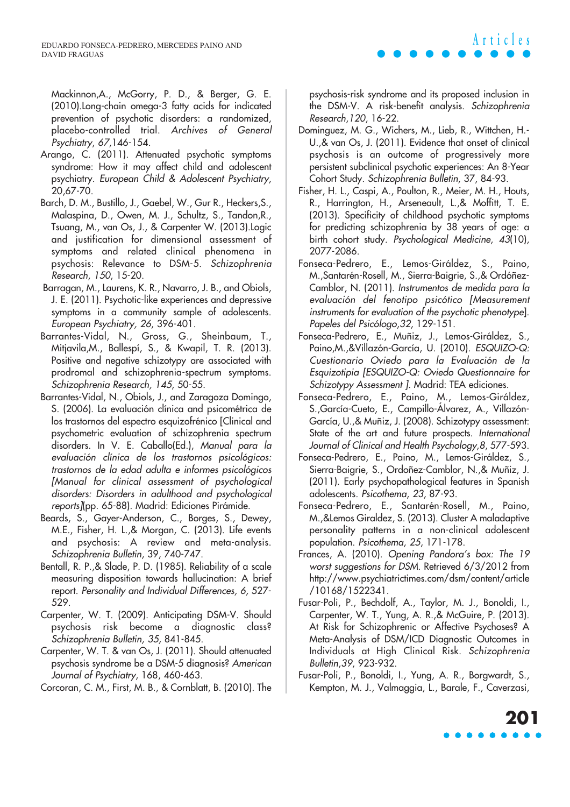Mackinnon,A., McGorry, P. D., & Berger, G. E. (2010).Long-chain omega-3 fatty acids for indicated prevention of psychotic disorders: a randomized, placebo-controlled trial. Archives of General Psychiatry, 67,146-154.

- Arango, C. (2011). Attenuated psychotic symptoms syndrome: How it may affect child and adolescent psychiatry. European Child & Adolescent Psychiatry, 20,67-70.
- Barch, D. M., Bustillo, J., Gaebel, W., Gur R., Heckers,S., Malaspina, D., Owen, M. J., Schultz, S., Tandon,R., Tsuang, M., van Os, J., & Carpenter W. (2013).Logic and justification for dimensional assessment of symptoms and related clinical phenomena in psychosis: Relevance to DSM-5. Schizophrenia Research, 150, 15-20.
- Barragan, M., Laurens, K. R., Navarro, J. B., and Obiols, J. E. (2011). Psychotic-like experiences and depressive symptoms in a community sample of adolescents. European Psychiatry, 26, 396-401.
- Barrantes-Vidal, N., Gross, G., Sheinbaum, T., Mitjavila,M., Ballespí, S., & Kwapil, T. R. (2013). Positive and negative schizotypy are associated with prodromal and schizophrenia-spectrum symptoms. Schizophrenia Research, 145, 50-55.
- Barrantes-Vidal, N., Obiols, J., and Zaragoza Domingo, S. (2006). La evaluación clínica and psicométrica de los trastornos del espectro esquizofrénico [Clinical and psychometric evaluation of schizophrenia spectrum disorders. In V. E. Caballo(Ed.), Manual para la evaluación clínica de los trastornos psicológicos: trastornos de la edad adulta e informes psicológicos [Manual for clinical assessment of psychological disorders: Disorders in adulthood and psychological reports](pp. 65-88). Madrid: Ediciones Pirámide.
- Beards, S., Gayer-Anderson, C., Borges, S., Dewey, M.E., Fisher, H. L.,& Morgan, C. (2013). Life events and psychosis: A review and meta-analysis. Schizophrenia Bulletin, 39, 740-747.
- Bentall, R. P.,& Slade, P. D. (1985). Reliability of a scale measuring disposition towards hallucination: A brief report. Personality and Individual Differences, 6, 527- 529.
- Carpenter, W. T. (2009). Anticipating DSM-V. Should psychosis risk become a diagnostic class? Schizophrenia Bulletin, 35, 841-845.
- Carpenter, W. T. & van Os, J. (2011). Should attenuated psychosis syndrome be a DSM-5 diagnosis? American Journal of Psychiatry, 168, 460-463.
- Corcoran, C. M., First, M. B., & Cornblatt, B. (2010). The

psychosis-risk syndrome and its proposed inclusion in the DSM-V. A risk-benefit analysis. Schizophrenia Research,120, 16-22.

**Articles**

- Dominguez, M. G., Wichers, M., Lieb, R., Wittchen, H.- U.,& van Os, J. (2011). Evidence that onset of clinical psychosis is an outcome of progressively more persistent subclinical psychotic experiences: An 8-Year Cohort Study. Schizophrenia Bulletin, 37, 84-93.
- Fisher, H. L., Caspi, A., Poulton, R., Meier, M. H., Houts, R., Harrington, H., Arseneault, L.,& Moffitt, T. E. (2013). Specificity of childhood psychotic symptoms for predicting schizophrenia by 38 years of age: a birth cohort study. Psychological Medicine, 43(10), 2077-2086.
- Fonseca-Pedrero, E., Lemos-Giráldez, S., Paino, M.,Santarén-Rosell, M., Sierra-Baigrie, S.,& Ordóñez-Camblor, N. (2011). Instrumentos de medida para la evaluación del fenotipo psicótico [Measurement instruments for evaluation of the psychotic phenotype]. Papeles del Psicólogo,32, 129-151.
- Fonseca-Pedrero, E., Muñiz, J., Lemos-Giráldez, S., Paino,M.,&Villazón-García, U. (2010). ESQUIZO-Q: Cuestionario Oviedo para la Evaluación de la Esquizotipia [ESQUIZO-Q: Oviedo Questionnaire for Schizotypy Assessment ]. Madrid: TEA ediciones.
- Fonseca-Pedrero, E., Paino, M., Lemos-Giráldez, S.,García-Cueto, E., Campillo-Álvarez, A., Villazón-García, U.,& Muñiz, J. (2008). Schizotypy assessment: State of the art and future prospects. International Journal of Clinical and Health Psychology, 8, 577-593.
- Fonseca-Pedrero, E., Paino, M., Lemos-Giráldez, S., Sierra-Baigrie, S., Ordoñez-Camblor, N.,& Muñiz, J. (2011). Early psychopathological features in Spanish adolescents. Psicothema, 23, 87-93.
- Fonseca-Pedrero, E., Santarén-Rosell, M., Paino, M.,&Lemos Giraldez, S. (2013). Cluster A maladaptive personality patterns in a non-clinical adolescent population. Psicothema, 25, 171-178.
- Frances, A. (2010). Opening Pandora's box: The 19 worst suggestions for DSM. Retrieved 6/3/2012 from http://www.psychiatrictimes.com/dsm/content/article /10168/1522341.
- Fusar-Poli, P., Bechdolf, A., Taylor, M. J., Bonoldi, I., Carpenter, W. T., Yung, A. R.,& McGuire, P. (2013). At Risk for Schizophrenic or Affective Psychoses? A Meta-Analysis of DSM/ICD Diagnostic Outcomes in Individuals at High Clinical Risk. Schizophrenia Bulletin,39, 923-932.
- Fusar-Poli, P., Bonoldi, I., Yung, A. R., Borgwardt, S., Kempton, M. J., Valmaggia, L., Barale, F., Caverzasi,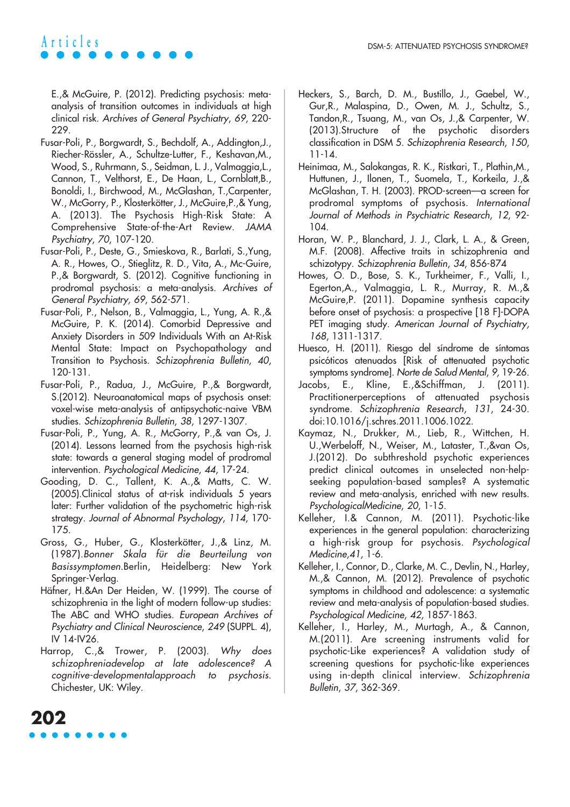E.,& McGuire, P. (2012). Predicting psychosis: metaanalysis of transition outcomes in individuals at high clinical risk. Archives of General Psychiatry, 69, 220- 229.

- Fusar-Poli, P., Borgwardt, S., Bechdolf, A., Addington,J., Riecher-Rössler, A., Schultze-Lutter, F., Keshavan,M., Wood, S., Ruhrmann, S., Seidman, L. J., Valmaggia,L., Cannon, T., Velthorst, E., De Haan, L., Cornblatt,B., Bonoldi, I., Birchwood, M., McGlashan, T.,Carpenter, W., McGorry, P., Klosterkötter, J., McGuire,P.,& Yung, A. (2013). The Psychosis High-Risk State: A Comprehensive State-of-the-Art Review. JAMA Psychiatry, 70, 107-120.
- Fusar-Poli, P., Deste, G., Smieskova, R., Barlati, S.,Yung, A. R., Howes, O., Stieglitz, R. D., Vita, A., Mc-Guire, P.,& Borgwardt, S. (2012). Cognitive functioning in prodromal psychosis: a meta-analysis. Archives of General Psychiatry, 69, 562-571.
- Fusar-Poli, P., Nelson, B., Valmaggia, L., Yung, A. R.,& McGuire, P. K. (2014). Comorbid Depressive and Anxiety Disorders in 509 Individuals With an At-Risk Mental State: Impact on Psychopathology and Transition to Psychosis. Schizophrenia Bulletin, 40, 120-131.
- Fusar-Poli, P., Radua, J., McGuire, P.,& Borgwardt, S.(2012). Neuroanatomical maps of psychosis onset: voxel-wise meta-analysis of antipsychotic-naive VBM studies. Schizophrenia Bulletin, 38, 1297-1307.
- Fusar-Poli, P., Yung, A. R., McGorry, P.,& van Os, J. (2014). Lessons learned from the psychosis high-risk state: towards a general staging model of prodromal intervention. Psychological Medicine, 44, 17-24.
- Gooding, D. C., Tallent, K. A.,& Matts, C. W. (2005).Clinical status of at-risk individuals 5 years later: Further validation of the psychometric high-risk strategy. Journal of Abnormal Psychology, 114, 170- 175.
- Gross, G., Huber, G., Klosterkötter, J.,& Linz, M. (1987).Bonner Skala für die Beurteilung von Basissymptomen.Berlin, Heidelberg: New York Springer-Verlag.
- Häfner, H.&An Der Heiden, W. (1999). The course of schizophrenia in the light of modern follow-up studies: The ABC and WHO studies. European Archives of Psychiatry and Clinical Neuroscience, 249 (SUPPL. 4), IV 14-IV26.
- Harrop, C.,& Trower, P. (2003). Why does schizophreniadevelop at late adolescence? A cognitive-developmentalapproach to psychosis. Chichester, UK: Wiley.
- Heckers, S., Barch, D. M., Bustillo, J., Gaebel, W., Gur,R., Malaspina, D., Owen, M. J., Schultz, S., Tandon,R., Tsuang, M., van Os, J.,& Carpenter, W. (2013).Structure of the psychotic disorders classification in DSM 5. Schizophrenia Research, 150, 11-14.
- Heinimaa, M., Salokangas, R. K., Ristkari, T., Plathin,M., Huttunen, J., Ilonen, T., Suomela, T., Korkeila, J.,& McGlashan, T. H. (2003). PROD-screen—a screen for prodromal symptoms of psychosis. International Journal of Methods in Psychiatric Research, 12, 92- 104.
- Horan, W. P., Blanchard, J. J., Clark, L. A., & Green, M.F. (2008). Affective traits in schizophrenia and schizotypy. Schizophrenia Bulletin, 34, 856-874
- Howes, O. D., Bose, S. K., Turkheimer, F., Valli, I., Egerton,A., Valmaggia, L. R., Murray, R. M.,& McGuire,P. (2011). Dopamine synthesis capacity before onset of psychosis: a prospective [18 F]-DOPA PET imaging study. American Journal of Psychiatry, 168, 1311-1317.
- Huesco, H. (2011). Riesgo del síndrome de síntomas psicóticos atenuados [Risk of attenuated psychotic symptoms syndrome]. Norte de Salud Mental, 9, 19-26.
- Jacobs, E., Kline, E.,&Schiffman, J. (2011). Practitionerperceptions of attenuated psychosis syndrome. Schizophrenia Research, 131, 24-30. doi:10.1016/j.schres.2011.1006.1022.
- Kaymaz, N., Drukker, M., Lieb, R., Wittchen, H. U.,Werbeloff, N., Weiser, M., Lataster, T.,&van Os, J.(2012). Do subthreshold psychotic experiences predict clinical outcomes in unselected non-helpseeking population-based samples? A systematic review and meta-analysis, enriched with new results. PsychologicalMedicine, 20, 1-15.
- Kelleher, I.& Cannon, M. (2011). Psychotic-like experiences in the general population: characterizing a high-risk group for psychosis. Psychological Medicine,41, 1-6.
- Kelleher, I., Connor, D., Clarke, M. C., Devlin, N., Harley, M.,& Cannon, M. (2012). Prevalence of psychotic symptoms in childhood and adolescence: a systematic review and meta-analysis of population-based studies. Psychological Medicine, 42, 1857-1863.
- Kelleher, I., Harley, M., Murtagh, A., & Cannon, M.(2011). Are screening instruments valid for psychotic-Like experiences? A validation study of screening questions for psychotic-like experiences using in-depth clinical interview. Schizophrenia Bulletin, 37, 362-369.

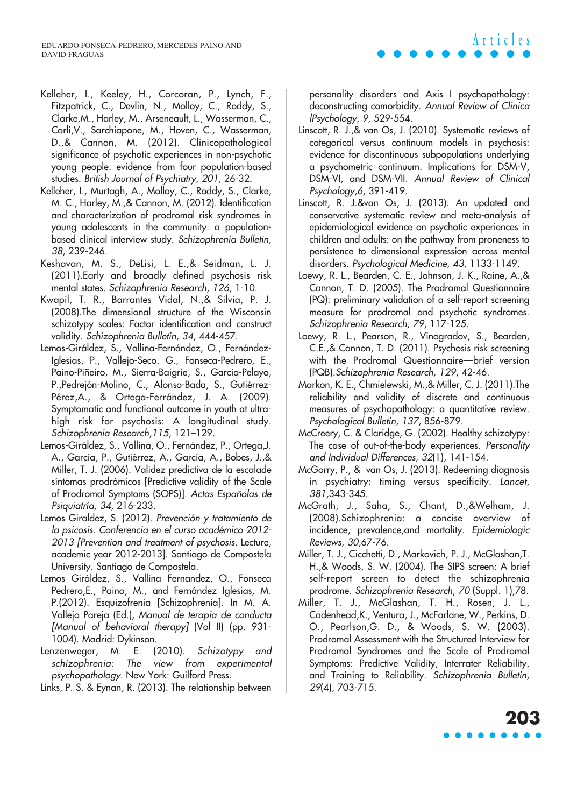- Kelleher, I., Keeley, H., Corcoran, P., Lynch, F., Fitzpatrick, C., Devlin, N., Molloy, C., Roddy, S., Clarke,M., Harley, M., Arseneault, L., Wasserman, C., Carli,V., Sarchiapone, M., Hoven, C., Wasserman, D.,& Cannon, M. (2012). Clinicopathological significance of psychotic experiences in non-psychotic young people: evidence from four population-based studies. British Journal of Psychiatry, 201, 26-32.
- Kelleher, I., Murtagh, A., Molloy, C., Roddy, S., Clarke, M. C., Harley, M.,& Cannon, M. (2012). Identification and characterization of prodromal risk syndromes in young adolescents in the community: a populationbased clinical interview study. Schizophrenia Bulletin, 38, 239-246.
- Keshavan, M. S., DeLisi, L. E.,& Seidman, L. J. (2011).Early and broadly defined psychosis risk mental states. Schizophrenia Research, 126, 1-10.
- Kwapil, T. R., Barrantes Vidal, N.,& Silvia, P. J. (2008).The dimensional structure of the Wisconsin schizotypy scales: Factor identification and construct validity. Schizophrenia Bulletin, 34, 444-457.
- Lemos-Giráldez, S., Vallina-Fernández, O., Fernández-Iglesias, P., Vallejo-Seco. G., Fonseca-Pedrero, E., Paíno-Piñeiro, M., Sierra-Baigrie, S., García-Pelayo, P.,Pedrejón-Molino, C., Alonso-Bada, S., Gutiérrez-Pérez,A., & Ortega-Ferrández, J. A. (2009). Symptomatic and functional outcome in youth at ultrahigh risk for psychosis: A longitudinal study. Schizophrenia Research,115, 121–129.
- Lemos-Giráldez, S., Vallina, O., Fernández, P., Ortega,J. A., García, P., Gutiérrez, A., García, A., Bobes, J.,& Miller, T. J. (2006). Validez predictiva de la escalade síntomas prodrómicos [Predictive validity of the Scale of Prodromal Symptoms (SOPS)]. Actas Españolas de Psiquiatría, 34, 216-233.
- Lemos Giraldez, S. (2012). Prevención <sup>y</sup> tratamiento de la psicosis. Conferencia en el curso académico 2012- 2013 [Prevention and treatment of psychosis. Lecture, academic year 2012-2013]. Santiago de Compostela University. Santiago de Compostela.
- Lemos Giráldez, S., Vallina Fernandez, O., Fonseca Pedrero,E., Paino, M., and Fernández Iglesias, M. P.(2012). Esquizofrenia [Schizophrenia]. In M. A. Vallejo Pareja (Ed.), Manual de terapia de conducta [Manual of behavioral therapy] (Vol II) (pp. 931-1004). Madrid: Dykinson.
- Lenzenweger, M. E. (2010). Schizotypy and schizophrenia: The view from experimental psychopathology. New York: Guilford Press.
- Links, P. S. & Eynan, R. (2013). The relationship between

personality disorders and Axis I psychopathology: deconstructing comorbidity. Annual Review of Clinica lPsychology, 9, 529-554.

**Articles**

- Linscott, R. J.,& van Os, J. (2010). Systematic reviews of categorical versus continuum models in psychosis: evidence for discontinuous subpopulations underlying a psychometric continuum. Implications for DSM-V, DSM-VI, and DSM-VII. Annual Review of Clinical Psychology,6, 391-419.
- Linscott, R. J.&van Os, J. (2013). An updated and conservative systematic review and meta-analysis of epidemiological evidence on psychotic experiences in children and adults: on the pathway from proneness to persistence to dimensional expression across mental disorders. Psychological Medicine, 43, 1133-1149.
- Loewy, R. L., Bearden, C. E., Johnson, J. K., Raine, A.,& Cannon, T. D. (2005). The Prodromal Questionnaire (PQ): preliminary validation of a self-report screening measure for prodromal and psychotic syndromes. Schizophrenia Research, 79, 117-125.
- Loewy, R. L., Pearson, R., Vinogradov, S., Bearden, C.E.,& Cannon, T. D. (2011). Psychosis risk screening with the Prodromal Questionnaire—brief version (PQB).Schizophrenia Research, 129, 42-46.
- Markon, K. E., Chmielewski, M.,& Miller, C. J. (2011).The reliability and validity of discrete and continuous measures of psychopathology: a quantitative review. Psychological Bulletin, 137, 856-879.
- McCreery, C. & Claridge, G. (2002). Healthy schizotypy: The case of out-of-the-body experiences. Personality and Individual Differences, 32(1), 141-154.
- McGorry, P., & van Os, J. (2013). Redeeming diagnosis in psychiatry: timing versus specificity. Lancet, 381,343-345.
- McGrath, J., Saha, S., Chant, D.,&Welham, J. (2008).Schizophrenia: a concise overview of incidence, prevalence,and mortality. Epidemiologic Reviews, 30,67-76.
- Miller, T. J., Cicchetti, D., Markovich, P. J., McGlashan,T. H.,& Woods, S. W. (2004). The SIPS screen: A brief self-report screen to detect the schizophrenia prodrome. Schizophrenia Research, <sup>70</sup> (Suppl. 1),78.
- Miller, T. J., McGlashan, T. H., Rosen, J. L., Cadenhead,K., Ventura, J., McFarlane, W., Perkins, D. O., Pearlson,G. D., & Woods, S. W. (2003). Prodromal Assessment with the Structured Interview for Prodromal Syndromes and the Scale of Prodromal Symptoms: Predictive Validity, Interrater Reliability, and Training to Reliability. Schizophrenia Bulletin, 29(4), 703-715.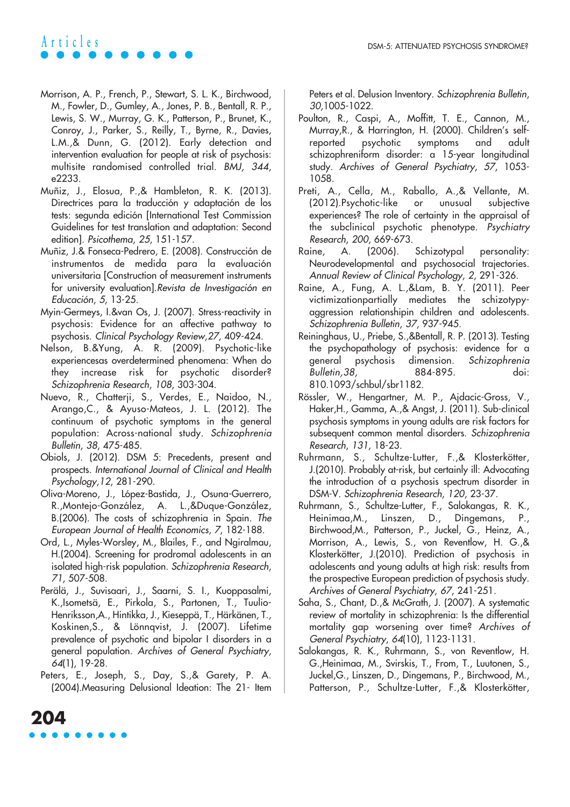

- Morrison, A. P., French, P., Stewart, S. L. K., Birchwood, M., Fowler, D., Gumley, A., Jones, P. B., Bentall, R. P., Lewis, S. W., Murray, G. K., Patterson, P., Brunet, K., Conroy, J., Parker, S., Reilly, T., Byrne, R., Davies, L.M.,& Dunn, G. (2012). Early detection and intervention evaluation for people at risk of psychosis: multisite randomised controlled trial. BMJ, 344, e2233.
- Muñiz, J., Elosua, P.,& Hambleton, R. K. (2013). Directrices para la traducción y adaptación de los tests: segunda edición [International Test Commission Guidelines for test translation and adaptation: Second edition]. Psicothema, 25, 151-157.
- Muñiz, J.& Fonseca-Pedrero, E. (2008). Construcción de instrumentos de medida para la evaluación universitaria [Construction of measurement instruments for university evaluation].Revista de Investigación en Educación, 5, 13-25.
- Myin-Germeys, I.&van Os, J. (2007). Stress-reactivity in psychosis: Evidence for an affective pathway to psychosis. Clinical Psychology Review,27, 409-424.
- Nelson, B.&Yung, A. R. (2009). Psychotic-like experiencesas overdetermined phenomena: When do they increase risk for psychotic disorder? Schizophrenia Research, 108, 303-304.
- Nuevo, R., Chatterji, S., Verdes, E., Naidoo, N., Arango,C., & Ayuso-Mateos, J. L. (2012). The continuum of psychotic symptoms in the general population: Across-national study. Schizophrenia Bulletin, 38, 475-485.
- Obiols, J. (2012). DSM 5: Precedents, present and prospects. International Journal of Clinical and Health Psychology,12, 281-290.
- Oliva-Moreno, J., López-Bastida, J., Osuna-Guerrero, R.,Montejo-González, A. L.,&Duque-González, B.(2006). The costs of schizophrenia in Spain. The European Journal of Health Economics, 7, 182-188.
- Ord, L., Myles-Worsley, M., Blailes, F., and Ngiralmau, H.(2004). Screening for prodromal adolescents in an isolated high-risk population. Schizophrenia Research, 71, 507-508.
- Perälä, J., Suvisaari, J., Saarni, S. I., Kuoppasalmi, K.,Isometsä, E., Pirkola, S., Partonen, T., Tuulio-Henriksson,A., Hintikka, J., Kieseppä, T., Härkänen, T., Koskinen,S., & Lönnqvist, J. (2007). Lifetime prevalence of psychotic and bipolar I disorders in a general population. Archives of General Psychiatry, 64(1), 19-28.
- Peters, E., Joseph, S., Day, S.,& Garety, P. A. (2004).Measuring Delusional Ideation: The 21- Item

Peters et al. Delusion Inventory. Schizophrenia Bulletin, 30,1005-1022.

- Poulton, R., Caspi, A., Moffitt, T. E., Cannon, M., Murray,R., & Harrington, H. (2000). Children's selfreported psychotic symptoms and adult schizophreniform disorder: a 15-year longitudinal study. Archives of General Psychiatry, 57, 1053- 1058.
- Preti, A., Cella, M., Raballo, A.,& Vellante, M. (2012).Psychotic-like or unusual subjective experiences? The role of certainty in the appraisal of the subclinical psychotic phenotype. Psychiatry Research, 200, 669-673.
- Raine, A. (2006). Schizotypal personality: Neurodevelopmental and psychosocial trajectories. Annual Review of Clinical Psychology, 2, 291-326.
- Raine, A., Fung, A. L.,&Lam, B. Y. (2011). Peer victimizationpartially mediates the schizotypyaggression relationshipin children and adolescents. Schizophrenia Bulletin, 37, 937-945.
- Reininghaus, U., Priebe, S.,&Bentall, R. P. (2013). Testing the psychopathology of psychosis: evidence for a general psychosis dimension. Schizophrenia Bulletin,38, 884-895. doi: 810.1093/schbul/sbr1182.
- Rössler, W., Hengartner, M. P., Ajdacic-Gross, V., Haker,H., Gamma, A.,& Angst, J. (2011). Sub-clinical psychosis symptoms in young adults are risk factors for subsequent common mental disorders. Schizophrenia Research, 131, 18-23.
- Ruhrmann, S., Schultze-Lutter, F.,& Klosterkötter, J.(2010). Probably at-risk, but certainly ill: Advocating the introduction of a psychosis spectrum disorder in DSM-V. Schizophrenia Research, 120, 23-37.
- Ruhrmann, S., Schultze-Lutter, F., Salokangas, R. K., Heinimaa,M., Linszen, D., Dingemans, P., Birchwood,M., Patterson, P., Juckel, G., Heinz, A., Morrison, A., Lewis, S., von Reventlow, H. G.,& Klosterkötter, J.(2010). Prediction of psychosis in adolescents and young adults at high risk: results from the prospective European prediction of psychosis study. Archives of General Psychiatry, 67, 241-251.
- Saha, S., Chant, D.,& McGrath, J. (2007). A systematic review of mortality in schizophrenia: Is the differential mortality gap worsening over time? Archives of General Psychiatry, 64(10), 1123-1131.
- Salokangas, R. K., Ruhrmann, S., von Reventlow, H. G.,Heinimaa, M., Svirskis, T., From, T., Luutonen, S., Juckel,G., Linszen, D., Dingemans, P., Birchwood, M., Patterson, P., Schultze-Lutter, F.,& Klosterkötter,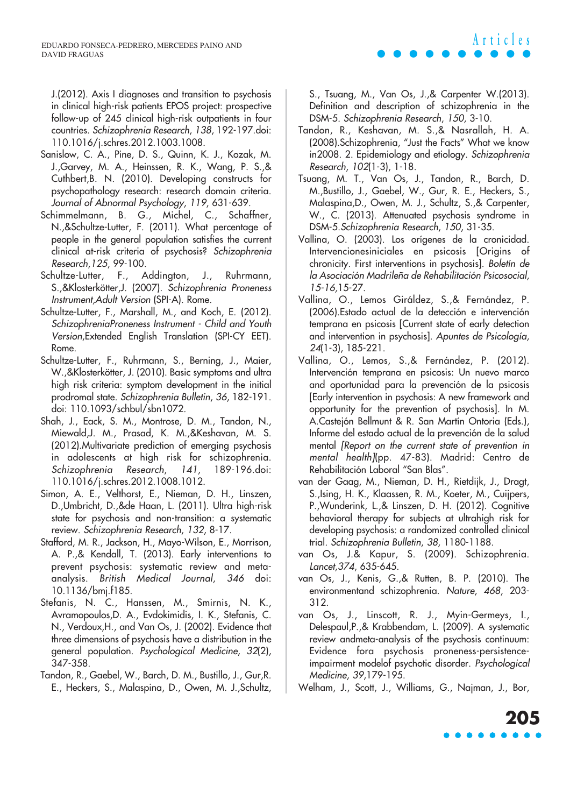J.(2012). Axis I diagnoses and transition to psychosis in clinical high-risk patients EPOS project: prospective follow-up of 245 clinical high-risk outpatients in four countries. Schizophrenia Research, 138, 192-197.doi: 110.1016/j.schres.2012.1003.1008.

- Sanislow, C. A., Pine, D. S., Quinn, K. J., Kozak, M. J.,Garvey, M. A., Heinssen, R. K., Wang, P. S.,& Cuthbert,B. N. (2010). Developing constructs for psychopathology research: research domain criteria. Journal of Abnormal Psychology, 119, 631-639.
- Schimmelmann, B. G., Michel, C., Schaffner, N.,&Schultze-Lutter, F. (2011). What percentage of people in the general population satisfies the current clinical at-risk criteria of psychosis? Schizophrenia Research,125, 99-100.
- Schultze-Lutter, F., Addington, J., Ruhrmann, S.,&Klosterkötter,J. (2007). Schizophrenia Proneness Instrument,Adult Version (SPI-A). Rome.
- Schultze-Lutter, F., Marshall, M., and Koch, E. (2012). SchizophreniaProneness Instrument - Child and Youth Version,Extended English Translation (SPI-CY EET). Rome.
- Schultze-Lutter, F., Ruhrmann, S., Berning, J., Maier, W.,&Klosterkötter, J. (2010). Basic symptoms and ultra high risk criteria: symptom development in the initial prodromal state. Schizophrenia Bulletin, 36, 182-191. doi: 110.1093/schbul/sbn1072.
- Shah, J., Eack, S. M., Montrose, D. M., Tandon, N., Miewald,J. M., Prasad, K. M.,&Keshavan, M. S. (2012).Multivariate prediction of emerging psychosis in adolescents at high risk for schizophrenia. Schizophrenia Research, 141, 189-196.doi: 110.1016/j.schres.2012.1008.1012.
- Simon, A. E., Velthorst, E., Nieman, D. H., Linszen, D.,Umbricht, D.,&de Haan, L. (2011). Ultra high-risk state for psychosis and non-transition: a systematic review. Schizophrenia Research, 132, 8-17.
- Stafford, M. R., Jackson, H., Mayo-Wilson, E., Morrison, A. P.,& Kendall, T. (2013). Early interventions to prevent psychosis: systematic review and metaanalysis. British Medical Journal, 346 doi: 10.1136/bmj.f185.
- Stefanis, N. C., Hanssen, M., Smirnis, N. K., Avramopoulos,D. A., Evdokimidis, I. K., Stefanis, C. N., Verdoux,H., and Van Os, J. (2002). Evidence that three dimensions of psychosis have a distribution in the general population. Psychological Medicine, 32(2), 347-358.
- Tandon, R., Gaebel, W., Barch, D. M., Bustillo, J., Gur,R. E., Heckers, S., Malaspina, D., Owen, M. J.,Schultz,

S., Tsuang, M., Van Os, J.,& Carpenter W.(2013). Definition and description of schizophrenia in the DSM-5. Schizophrenia Research, 150, 3-10.

**Articles**

- Tandon, R., Keshavan, M. S.,& Nasrallah, H. A. (2008).Schizophrenia, "Just the Facts" What we know in2008. 2. Epidemiology and etiology. Schizophrenia Research, 102(1-3), 1-18.
- Tsuang, M. T., Van Os, J., Tandon, R., Barch, D. M.,Bustillo, J., Gaebel, W., Gur, R. E., Heckers, S., Malaspina,D., Owen, M. J., Schultz, S.,& Carpenter, W., C. (2013). Attenuated psychosis syndrome in DSM-5.Schizophrenia Research, 150, 31-35.
- Vallina, O. (2003). Los orígenes de la cronicidad. Intervencionesiniciales en psicosis [Origins of chronicity. First interventions in psychosis]. Boletín de la Asociación Madrileña de Rehabilitación Psicosocial, 15-16,15-27.
- Vallina, O., Lemos Giráldez, S.,& Fernández, P. (2006).Estado actual de la detección e intervención temprana en psicosis [Current state of early detection and intervention in psychosis]. Apuntes de Psicología, 24(1-3), 185-221.
- Vallina, O., Lemos, S.,& Fernández, P. (2012). Intervención temprana en psicosis: Un nuevo marco and oportunidad para la prevención de la psicosis [Early intervention in psychosis: A new framework and opportunity for the prevention of psychosis]. In M. A.Castejón Bellmunt & R. San Martín Ontoria (Eds.), Informe del estado actual de la prevención de la salud mental [Report on the current state of prevention in mental health](pp. 47-83). Madrid: Centro de Rehabilitación Laboral "San Blas".
- van der Gaag, M., Nieman, D. H., Rietdijk, J., Dragt, S.,Ising, H. K., Klaassen, R. M., Koeter, M., Cuijpers, P.,Wunderink, L.,& Linszen, D. H. (2012). Cognitive behavioral therapy for subjects at ultrahigh risk for developing psychosis: a randomized controlled clinical trial. Schizophrenia Bulletin, 38, 1180-1188.
- van Os, J.& Kapur, S. (2009). Schizophrenia. Lancet,374, 635-645.
- van Os, J., Kenis, G.,& Rutten, B. P. (2010). The environmentand schizophrenia. Nature, 468, 203- 312.
- van Os, J., Linscott, R. J., Myin-Germeys, I., Delespaul,P.,& Krabbendam, L. (2009). A systematic review andmeta-analysis of the psychosis continuum: Evidence fora psychosis proneness-persistenceimpairment modelof psychotic disorder. Psychological Medicine, 39,179-195.
- Welham, J., Scott, J., Williams, G., Najman, J., Bor,